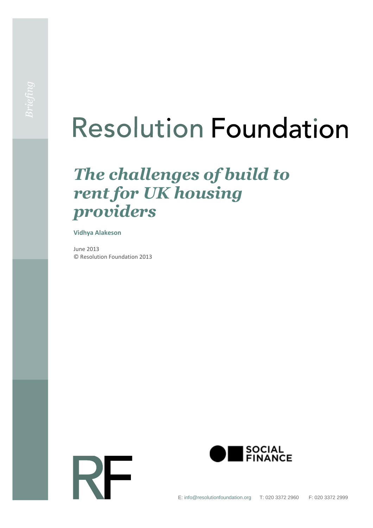# **Resolution Foundation**

## *The challenges of build to rent for UK housing providers*

#### **Vidhya Alakeson**

June 2013 © Resolution Foundation 2013



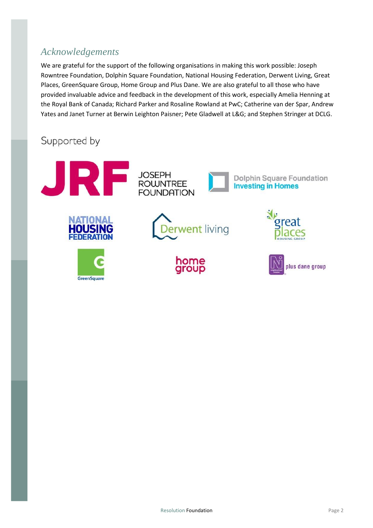## *Acknowledgements*

We are grateful for the support of the following organisations in making this work possible: Joseph Rowntree Foundation, Dolphin Square Foundation, National Housing Federation, Derwent Living, Great Places, GreenSquare Group, Home Group and Plus Dane. We are also grateful to all those who have provided invaluable advice and feedback in the development of this work, especially Amelia Henning at the Royal Bank of Canada; Richard Parker and Rosaline Rowland at PwC; Catherine van der Spar, Andrew Yates and Janet Turner at Berwin Leighton Paisner; Pete Gladwell at L&G; and Stephen Stringer at DCLG.

## Supported by

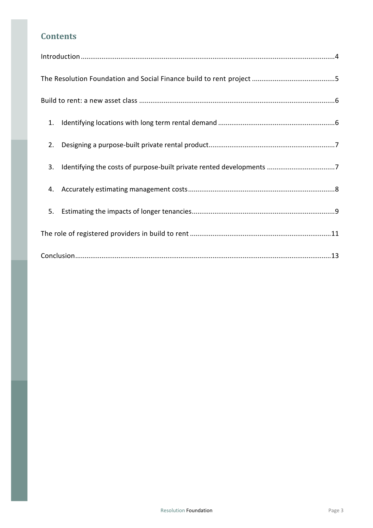### **Contents**

| 1. |
|----|
| 2. |
| 3. |
|    |
| 5. |
|    |
|    |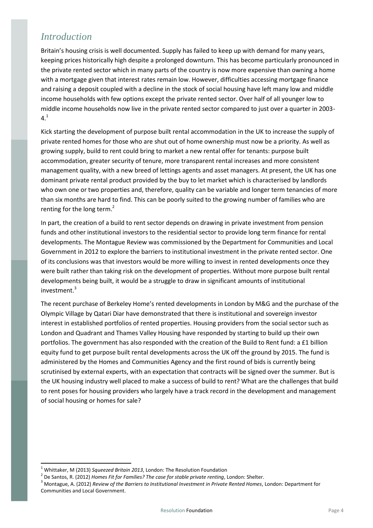## <span id="page-3-0"></span>*Introduction*

Britain's housing crisis is well documented. Supply has failed to keep up with demand for many years, keeping prices historically high despite a prolonged downturn. This has become particularly pronounced in the private rented sector which in many parts of the country is now more expensive than owning a home with a mortgage given that interest rates remain low. However, difficulties accessing mortgage finance and raising a deposit coupled with a decline in the stock of social housing have left many low and middle income households with few options except the private rented sector. Over half of all younger low to middle income households now live in the private rented sector compared to just over a quarter in 2003-  $4<sup>1</sup>$ 

Kick starting the development of purpose built rental accommodation in the UK to increase the supply of private rented homes for those who are shut out of home ownership must now be a priority. As well as growing supply, build to rent could bring to market a new rental offer for tenants: purpose built accommodation, greater security of tenure, more transparent rental increases and more consistent management quality, with a new breed of lettings agents and asset managers. At present, the UK has one dominant private rental product provided by the buy to let market which is characterised by landlords who own one or two properties and, therefore, quality can be variable and longer term tenancies of more than six months are hard to find. This can be poorly suited to the growing number of families who are renting for the long term.<sup>2</sup>

In part, the creation of a build to rent sector depends on drawing in private investment from pension funds and other institutional investors to the residential sector to provide long term finance for rental developments. The Montague Review was commissioned by the Department for Communities and Local Government in 2012 to explore the barriers to institutional investment in the private rented sector. One of its conclusions was that investors would be more willing to invest in rented developments once they were built rather than taking risk on the development of properties. Without more purpose built rental developments being built, it would be a struggle to draw in significant amounts of institutional investment.<sup>3</sup>

The recent purchase of Berkeley Home's rented developments in London by M&G and the purchase of the Olympic Village by Qatari Diar have demonstrated that there is institutional and sovereign investor interest in established portfolios of rented properties. Housing providers from the social sector such as London and Quadrant and Thames Valley Housing have responded by starting to build up their own portfolios. The government has also responded with the creation of the Build to Rent fund: a £1 billion equity fund to get purpose built rental developments across the UK off the ground by 2015. The fund is administered by the Homes and Communities Agency and the first round of bids is currently being scrutinised by external experts, with an expectation that contracts will be signed over the summer. But is the UK housing industry well placed to make a success of build to rent? What are the challenges that build to rent poses for housing providers who largely have a track record in the development and management of social housing or homes for sale?

 $\overline{\phantom{a}}$ 

<sup>1</sup> Whittaker, M (2013) *Squeezed Britain 2013*, London: The Resolution Foundation

<sup>2</sup> De Santos, R. (2012) *Homes Fit for Families? The case for stable private renting*, London: Shelter.

<sup>3</sup> Montague, A. (2012) *Review of the Barriers to Institutional Investment in Private Rented Homes*, London: Department for Communities and Local Government.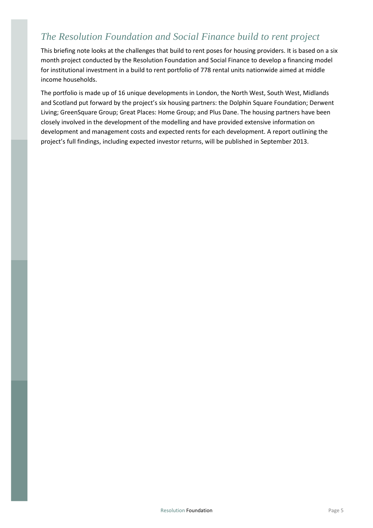## <span id="page-4-0"></span>*The Resolution Foundation and Social Finance build to rent project*

This briefing note looks at the challenges that build to rent poses for housing providers. It is based on a six month project conducted by the Resolution Foundation and Social Finance to develop a financing model for institutional investment in a build to rent portfolio of 778 rental units nationwide aimed at middle income households.

The portfolio is made up of 16 unique developments in London, the North West, South West, Midlands and Scotland put forward by the project's six housing partners: the Dolphin Square Foundation; Derwent Living; GreenSquare Group; Great Places: Home Group; and Plus Dane. The housing partners have been closely involved in the development of the modelling and have provided extensive information on development and management costs and expected rents for each development. A report outlining the project's full findings, including expected investor returns, will be published in September 2013.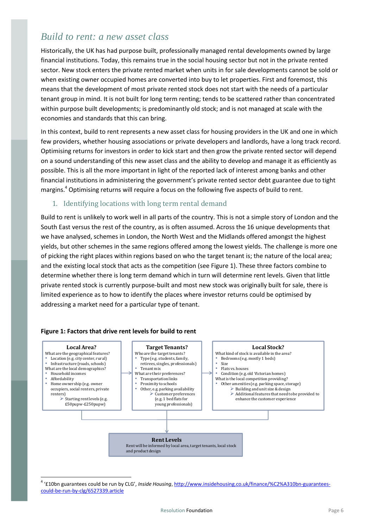## <span id="page-5-0"></span>*Build to rent: a new asset class*

Historically, the UK has had purpose built, professionally managed rental developments owned by large financial institutions. Today, this remains true in the social housing sector but not in the private rented sector. New stock enters the private rented market when units in for sale developments cannot be sold or when existing owner occupied homes are converted into buy to let properties. First and foremost, this means that the development of most private rented stock does not start with the needs of a particular tenant group in mind. It is not built for long term renting; tends to be scattered rather than concentrated within purpose built developments; is predominantly old stock; and is not managed at scale with the economies and standards that this can bring.

In this context, build to rent represents a new asset class for housing providers in the UK and one in which few providers, whether housing associations or private developers and landlords, have a long track record. Optimising returns for investors in order to kick start and then grow the private rented sector will depend on a sound understanding of this new asset class and the ability to develop and manage it as efficiently as possible. This is all the more important in light of the reported lack of interest among banks and other financial institutions in administering the government's private rented sector debt guarantee due to tight margins.<sup>4</sup> Optimising returns will require a focus on the following five aspects of build to rent.

#### <span id="page-5-1"></span>1. Identifying locations with long term rental demand

Build to rent is unlikely to work well in all parts of the country. This is not a simple story of London and the South East versus the rest of the country, as is often assumed. Across the 16 unique developments that we have analysed, schemes in London, the North West and the Midlands offered amongst the highest yields, but other schemes in the same regions offered among the lowest yields. The challenge is more one of picking the right places within regions based on who the target tenant is; the nature of the local area; and the existing local stock that acts as the competition (see Figure 1). These three factors combine to determine whether there is long term demand which in turn will determine rent levels. Given that little private rented stock is currently purpose-built and most new stock was originally built for sale, there is limited experience as to how to identify the places where investor returns could be optimised by addressing a market need for a particular type of tenant.



#### **Figure 1: Factors that drive rent levels for build to rent**

 $\overline{\phantom{a}}$ 

<sup>4</sup> '£10bn guarantees could be run by CLG', *Inside Housing*[, http://www.insidehousing.co.uk/finance/%C2%A310bn-guarantees](http://www.insidehousing.co.uk/finance/%C2%A310bn-guarantees-could-be-run-by-clg/6527339.article)[could-be-run-by-clg/6527339.article](http://www.insidehousing.co.uk/finance/%C2%A310bn-guarantees-could-be-run-by-clg/6527339.article)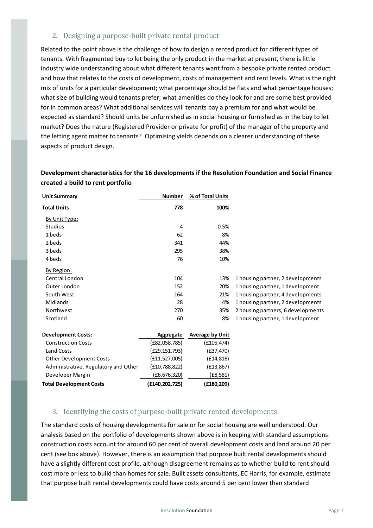#### <span id="page-6-0"></span>2. Designing a purpose-built private rental product

Related to the point above is the challenge of how to design a rented product for different types of tenants. With fragmented buy to let being the only product in the market at present, there is little industry wide understanding about what different tenants want from a bespoke private rented product and how that relates to the costs of development, costs of management and rent levels. What is the right mix of units for a particular development; what percentage should be flats and what percentage houses; what size of building would tenants prefer; what amenities do they look for and are some best provided for in common areas? What additional services will tenants pay a premium for and what would be expected as standard? Should units be unfurnished as in social housing or furnished as in the buy to let market? Does the nature (Registered Provider or private for profit) of the manager of the property and the letting agent matter to tenants? Optimising yields depends on a clearer understanding of these aspects of product design.

#### **Development characteristics for the 16 developments if the Resolution Foundation and Social Finance created a build to rent portfolio**

| <b>Unit Summary</b>                                                                                      | <b>Number</b>    | % of Total Units       |                                    |
|----------------------------------------------------------------------------------------------------------|------------------|------------------------|------------------------------------|
| <b>Total Units</b>                                                                                       | 778              | 100%                   |                                    |
| By Unit Type:                                                                                            |                  |                        |                                    |
| <b>Studios</b>                                                                                           | $\overline{4}$   | 0.5%                   |                                    |
| 1 beds                                                                                                   | 62               | 8%                     |                                    |
| 2 beds                                                                                                   | 341              | 44%                    |                                    |
| 3 beds                                                                                                   | 295              | 38%                    |                                    |
| 4 beds                                                                                                   | 76               | 10%                    |                                    |
| By Region:                                                                                               |                  |                        |                                    |
| Central London                                                                                           | 104              | 13%                    | 1 housing partner, 2 developments  |
| Outer London                                                                                             | 152              | 20%                    | 1 housing partner, 1 development   |
| South West                                                                                               | 164              | 21%                    | 1 housing partner, 4 developments  |
| Midlands                                                                                                 | 28               | 4%                     | 1 housing partner, 2 developments  |
| Northwest                                                                                                | 270              | 35%                    | 2 housing partners, 6 developments |
| Scotland                                                                                                 | 60               | 8%                     | 1 housing partner, 1 development   |
| <b>Development Costs:</b>                                                                                | Aggregate        | <b>Average by Unit</b> |                                    |
| <b>Construction Costs</b>                                                                                | (E82,058,785)    | (E105, 474)            |                                    |
| <b>Land Costs</b>                                                                                        | (E29, 151, 793)  | (E37, 470)             |                                    |
| <b>Other Development Costs</b>                                                                           | (f11, 527, 005)  | (E14, 816)             |                                    |
| Administrative, Regulatory and Other                                                                     | (E10, 788, 822)  | (E13, 867)             |                                    |
| Developer Margin                                                                                         | (E6, 676, 320)   | (E8, 581)              |                                    |
| <b>Total Development Costs</b>                                                                           | (E140, 202, 725) | (E180, 209)            |                                    |
|                                                                                                          |                  |                        |                                    |
| 3. Identifying the costs of purpose-built private rented developments                                    |                  |                        |                                    |
| The standard costs of housing developments for sale or for social housing are well understood. Our       |                  |                        |                                    |
| analysis based on the portfolio of developments shown above is in keeping with standard assumption       |                  |                        |                                    |
| construction costs account for around 60 per cent of overall development costs and land around 20 p      |                  |                        |                                    |
|                                                                                                          |                  |                        |                                    |
| cent (see box above). However, there is an assumption that purpose built rental developments should      |                  |                        |                                    |
| have a slightly different cost profile, although disagreement remains as to whether build to rent shoul  |                  |                        |                                    |
| cost more or less to build than homes for sale. Built assets consultants, EC Harris, for example, estima |                  |                        |                                    |
| that purpose built rental developments could have costs around 5 per cent lower than standard            |                  |                        |                                    |

#### <span id="page-6-1"></span>3. Identifying the costs of purpose-built private rented developments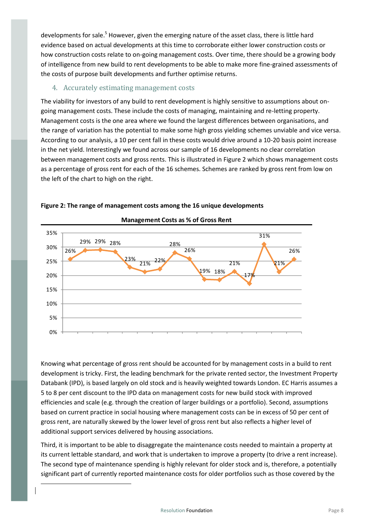developments for sale.<sup>5</sup> However, given the emerging nature of the asset class, there is little hard evidence based on actual developments at this time to corroborate either lower construction costs or how construction costs relate to on-going management costs. Over time, there should be a growing body of intelligence from new build to rent developments to be able to make more fine-grained assessments of the costs of purpose built developments and further optimise returns.

#### <span id="page-7-0"></span>4. Accurately estimating management costs

The viability for investors of any build to rent development is highly sensitive to assumptions about ongoing management costs. These include the costs of managing, maintaining and re-letting property. Management costs is the one area where we found the largest differences between organisations, and the range of variation has the potential to make some high gross yielding schemes unviable and vice versa. According to our analysis, a 10 per cent fall in these costs would drive around a 10-20 basis point increase in the net yield. Interestingly we found across our sample of 16 developments no clear correlation between management costs and gross rents. This is illustrated in Figure 2 which shows management costs as a percentage of gross rent for each of the 16 schemes. Schemes are ranked by gross rent from low on the left of the chart to high on the right.



#### **Figure 2: The range of management costs among the 16 unique developments**

Knowing what percentage of gross rent should be accounted for by management costs in a build to rent development is tricky. First, the leading benchmark for the private rented sector, the Investment Property Databank (IPD), is based largely on old stock and is heavily weighted towards London. EC Harris assumes a 5 to 8 per cent discount to the IPD data on management costs for new build stock with improved efficiencies and scale (e.g. through the creation of larger buildings or a portfolio). Second, assumptions based on current practice in social housing where management costs can be in excess of 50 per cent of gross rent, are naturally skewed by the lower level of gross rent but also reflects a higher level of additional support services delivered by housing associations.

Third, it is important to be able to disaggregate the maintenance costs needed to maintain a property at its current lettable standard, and work that is undertaken to improve a property (to drive a rent increase). The second type of maintenance spending is highly relevant for older stock and is, therefore, a potentially significant part of currently reported maintenance costs for older portfolios such as those covered by the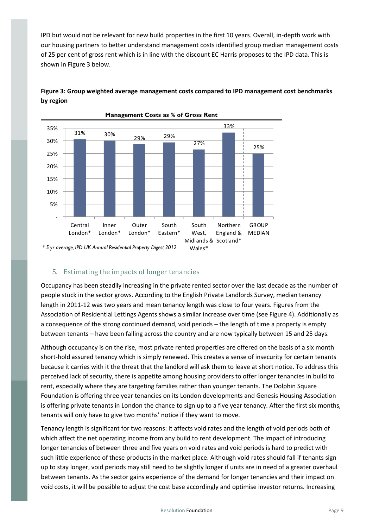IPD but would not be relevant for new build properties in the first 10 years. Overall, in-depth work with our housing partners to better understand management costs identified group median management costs of 25 per cent of gross rent which is in line with the discount EC Harris proposes to the IPD data. This is shown in Figure 3 below.

#### **Figure 3: Group weighted average management costs compared to IPD management cost benchmarks by region**



#### <span id="page-8-0"></span>5. Estimating the impacts of longer tenancies

Occupancy has been steadily increasing in the private rented sector over the last decade as the number of people stuck in the sector grows. According to the English Private Landlords Survey, median tenancy length in 2011-12 was two years and mean tenancy length was close to four years. Figures from the Association of Residential Lettings Agents shows a similar increase over time (see Figure 4). Additionally as a consequence of the strong continued demand, void periods – the length of time a property is empty between tenants – have been falling across the country and are now typically between 15 and 25 days.

Although occupancy is on the rise, most private rented properties are offered on the basis of a six month short-hold assured tenancy which is simply renewed. This creates a sense of insecurity for certain tenants because it carries with it the threat that the landlord will ask them to leave at short notice. To address this perceived lack of security, there is appetite among housing providers to offer longer tenancies in build to rent, especially where they are targeting families rather than younger tenants. The Dolphin Square Foundation is offering three year tenancies on its London developments and Genesis Housing Association is offering private tenants in London the chance to sign up to a five year tenancy. After the first six months, tenants will only have to give two months' notice if they want to move.

Tenancy length is significant for two reasons: it affects void rates and the length of void periods both of which affect the net operating income from any build to rent development. The impact of introducing longer tenancies of between three and five years on void rates and void periods is hard to predict with such little experience of these products in the market place. Although void rates should fall if tenants sign up to stay longer, void periods may still need to be slightly longer if units are in need of a greater overhaul between tenants. As the sector gains experience of the demand for longer tenancies and their impact on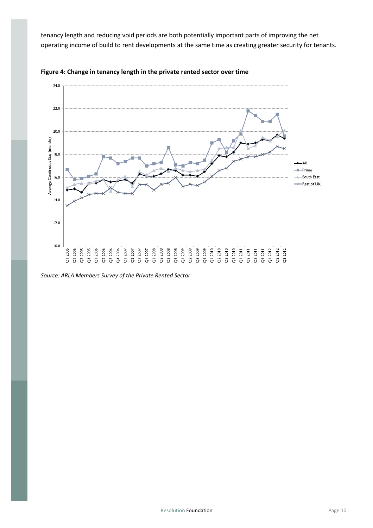tenancy length and reducing void periods are both potentially important parts of improving the net operating income of build to rent developments at the same time as creating greater security for tenants.





*Source: ARLA Members Survey of the Private Rented Sector*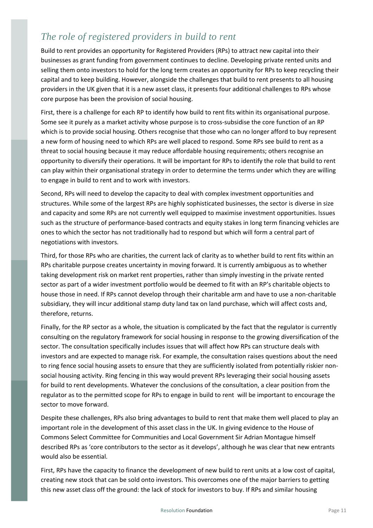## <span id="page-10-0"></span>*The role of registered providers in build to rent*

Build to rent provides an opportunity for Registered Providers (RPs) to attract new capital into their businesses as grant funding from government continues to decline. Developing private rented units and selling them onto investors to hold for the long term creates an opportunity for RPs to keep recycling their capital and to keep building. However, alongside the challenges that build to rent presents to all housing providers in the UK given that it is a new asset class, it presents four additional challenges to RPs whose core purpose has been the provision of social housing.

First, there is a challenge for each RP to identify how build to rent fits within its organisational purpose. Some see it purely as a market activity whose purpose is to cross-subsidise the core function of an RP which is to provide social housing. Others recognise that those who can no longer afford to buy represent a new form of housing need to which RPs are well placed to respond. Some RPs see build to rent as a threat to social housing because it may reduce affordable housing requirements; others recognise an opportunity to diversify their operations. It will be important for RPs to identify the role that build to rent can play within their organisational strategy in order to determine the terms under which they are willing to engage in build to rent and to work with investors.

Second, RPs will need to develop the capacity to deal with complex investment opportunities and structures. While some of the largest RPs are highly sophisticated businesses, the sector is diverse in size and capacity and some RPs are not currently well equipped to maximise investment opportunities. Issues such as the structure of performance-based contracts and equity stakes in long term financing vehicles are ones to which the sector has not traditionally had to respond but which will form a central part of negotiations with investors.

Third, for those RPs who are charities, the current lack of clarity as to whether build to rent fits within an RPs charitable purpose creates uncertainty in moving forward. It is currently ambiguous as to whether taking development risk on market rent properties, rather than simply investing in the private rented sector as part of a wider investment portfolio would be deemed to fit with an RP's charitable objects to house those in need. If RPs cannot develop through their charitable arm and have to use a non-charitable subsidiary, they will incur additional stamp duty land tax on land purchase, which will affect costs and, therefore, returns.

Finally, for the RP sector as a whole, the situation is complicated by the fact that the regulator is currently consulting on the regulatory framework for social housing in response to the growing diversification of the sector. The consultation specifically includes issues that will affect how RPs can structure deals with investors and are expected to manage risk. For example, the consultation raises questions about the need to ring fence social housing assets to ensure that they are sufficiently isolated from potentially riskier nonsocial housing activity. Ring fencing in this way would prevent RPs leveraging their social housing assets for build to rent developments. Whatever the conclusions of the consultation, a clear position from the regulator as to the permitted scope for RPs to engage in build to rent will be important to encourage the sector to move forward.

Despite these challenges, RPs also bring advantages to build to rent that make them well placed to play an important role in the development of this asset class in the UK. In giving evidence to the House of Commons Select Committee for Communities and Local Government Sir Adrian Montague himself described RPs as 'core contributors to the sector as it develops', although he was clear that new entrants would also be essential.

First, RPs have the capacity to finance the development of new build to rent units at a low cost of capital, creating new stock that can be sold onto investors. This overcomes one of the major barriers to getting this new asset class off the ground: the lack of stock for investors to buy. If RPs and similar housing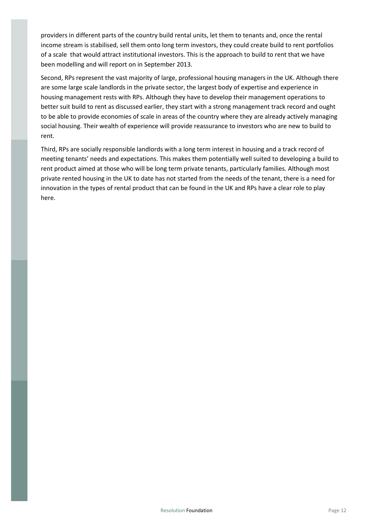providers in different parts of the country build rental units, let them to tenants and, once the rental income stream is stabilised, sell them onto long term investors, they could create build to rent portfolios of a scale that would attract institutional investors. This is the approach to build to rent that we have been modelling and will report on in September 2013.

Second, RPs represent the vast majority of large, professional housing managers in the UK. Although there are some large scale landlords in the private sector, the largest body of expertise and experience in housing management rests with RPs. Although they have to develop their management operations to better suit build to rent as discussed earlier, they start with a strong management track record and ought to be able to provide economies of scale in areas of the country where they are already actively managing social housing. Their wealth of experience will provide reassurance to investors who are new to build to rent.

Third, RPs are socially responsible landlords with a long term interest in housing and a track record of meeting tenants' needs and expectations. This makes them potentially well suited to developing a build to rent product aimed at those who will be long term private tenants, particularly families. Although most private rented housing in the UK to date has not started from the needs of the tenant, there is a need for innovation in the types of rental product that can be found in the UK and RPs have a clear role to play here.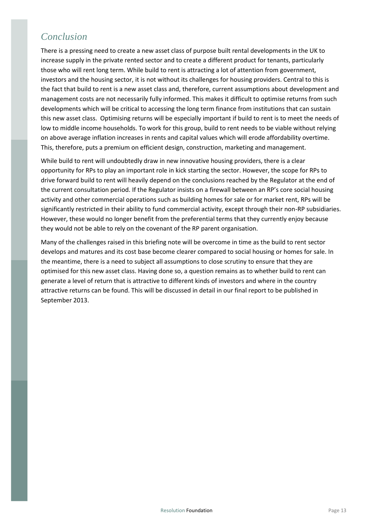## <span id="page-12-0"></span>*Conclusion*

There is a pressing need to create a new asset class of purpose built rental developments in the UK to increase supply in the private rented sector and to create a different product for tenants, particularly those who will rent long term. While build to rent is attracting a lot of attention from government, investors and the housing sector, it is not without its challenges for housing providers. Central to this is the fact that build to rent is a new asset class and, therefore, current assumptions about development and management costs are not necessarily fully informed. This makes it difficult to optimise returns from such developments which will be critical to accessing the long term finance from institutions that can sustain this new asset class. Optimising returns will be especially important if build to rent is to meet the needs of low to middle income households. To work for this group, build to rent needs to be viable without relying on above average inflation increases in rents and capital values which will erode affordability overtime. This, therefore, puts a premium on efficient design, construction, marketing and management.

While build to rent will undoubtedly draw in new innovative housing providers, there is a clear opportunity for RPs to play an important role in kick starting the sector. However, the scope for RPs to drive forward build to rent will heavily depend on the conclusions reached by the Regulator at the end of the current consultation period. If the Regulator insists on a firewall between an RP's core social housing activity and other commercial operations such as building homes for sale or for market rent, RPs will be significantly restricted in their ability to fund commercial activity, except through their non-RP subsidiaries. However, these would no longer benefit from the preferential terms that they currently enjoy because they would not be able to rely on the covenant of the RP parent organisation.

Many of the challenges raised in this briefing note will be overcome in time as the build to rent sector develops and matures and its cost base become clearer compared to social housing or homes for sale. In the meantime, there is a need to subject all assumptions to close scrutiny to ensure that they are optimised for this new asset class. Having done so, a question remains as to whether build to rent can generate a level of return that is attractive to different kinds of investors and where in the country attractive returns can be found. This will be discussed in detail in our final report to be published in September 2013.